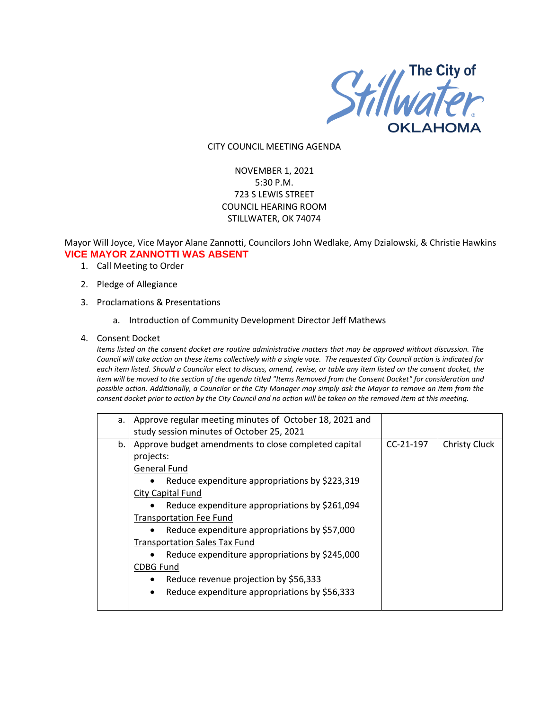

#### CITY COUNCIL MEETING AGENDA

# NOVEMBER 1, 2021 5:30 P.M. 723 S LEWIS STREET COUNCIL HEARING ROOM STILLWATER, OK 74074

## Mayor Will Joyce, Vice Mayor Alane Zannotti, Councilors John Wedlake, Amy Dzialowski, & Christie Hawkins **VICE MAYOR ZANNOTTI WAS ABSENT**

- 1. Call Meeting to Order
- 2. Pledge of Allegiance
- 3. Proclamations & Presentations
	- a. Introduction of Community Development Director Jeff Mathews
- 4. Consent Docket

*Items listed on the consent docket are routine administrative matters that may be approved without discussion. The Council will take action on these items collectively with a single vote. The requested City Council action is indicated for each item listed. Should a Councilor elect to discuss, amend, revise, or table any item listed on the consent docket, the item will be moved to the section of the agenda titled "Items Removed from the Consent Docket" for consideration and possible action. Additionally, a Councilor or the City Manager may simply ask the Mayor to remove an item from the consent docket prior to action by the City Council and no action will be taken on the removed item at this meeting.*

| a. | Approve regular meeting minutes of October 18, 2021 and     |             |                      |
|----|-------------------------------------------------------------|-------------|----------------------|
|    | study session minutes of October 25, 2021                   |             |                      |
| b. | Approve budget amendments to close completed capital        | $CC-21-197$ | <b>Christy Cluck</b> |
|    | projects:                                                   |             |                      |
|    | <b>General Fund</b>                                         |             |                      |
|    | Reduce expenditure appropriations by \$223,319<br>$\bullet$ |             |                      |
|    | City Capital Fund                                           |             |                      |
|    | Reduce expenditure appropriations by \$261,094<br>$\bullet$ |             |                      |
|    | <b>Transportation Fee Fund</b>                              |             |                      |
|    | Reduce expenditure appropriations by \$57,000               |             |                      |
|    | <b>Transportation Sales Tax Fund</b>                        |             |                      |
|    | Reduce expenditure appropriations by \$245,000              |             |                      |
|    | <b>CDBG Fund</b>                                            |             |                      |
|    | Reduce revenue projection by \$56,333<br>٠                  |             |                      |
|    | Reduce expenditure appropriations by \$56,333               |             |                      |
|    |                                                             |             |                      |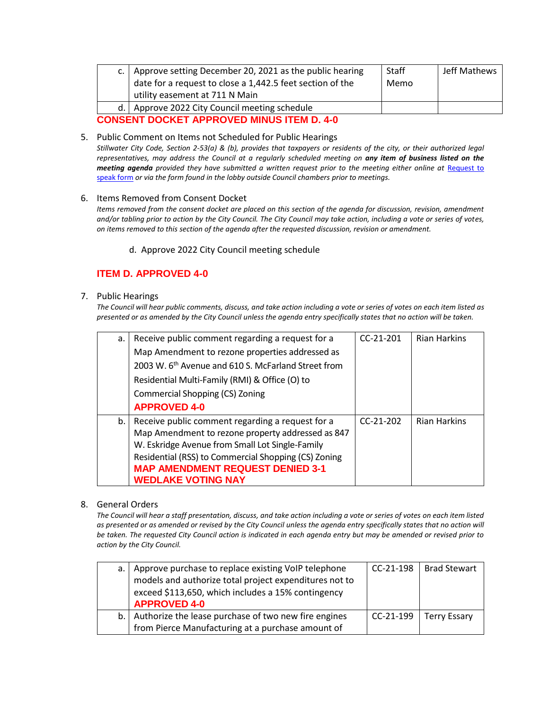| utility easement at 711 N Main                                                                        |  |  |  |  |
|-------------------------------------------------------------------------------------------------------|--|--|--|--|
| Approve 2022 City Council meeting schedule<br>d.1<br><b>CONSENT DOCKET APPROVED MINUS ITEM D. 4-0</b> |  |  |  |  |

### 5. Public Comment on Items not Scheduled for Public Hearings

*Stillwater City Code, Section 2-53(a) & (b), provides that taxpayers or residents of the city, or their authorized legal representatives, may address the Council at a regularly scheduled meeting on any item of business listed on the meeting agenda provided they have submitted a written request prior to the meeting either online at Request to* [speak form](http://stillwater.org/page/home/government/mayor-city-council/meetings-agendas-minutes/online-request-to-speak-at-city-council) *or via the form found in the lobby outside Council chambers prior to meetings.*

### 6. Items Removed from Consent Docket

*Items removed from the consent docket are placed on this section of the agenda for discussion, revision, amendment and/or tabling prior to action by the City Council. The City Council may take action, including a vote or series of votes, on items removed to this section of the agenda after the requested discussion, revision or amendment.*

d. Approve 2022 City Council meeting schedule

# **ITEM D. APPROVED 4-0**

## 7. Public Hearings

*The Council will hear public comments, discuss, and take action including a vote or series of votes on each item listed as presented or as amended by the City Council unless the agenda entry specifically states that no action will be taken.*

| a. | Receive public comment regarding a request for a                | $CC-21-201$ | <b>Rian Harkins</b> |
|----|-----------------------------------------------------------------|-------------|---------------------|
|    | Map Amendment to rezone properties addressed as                 |             |                     |
|    | 2003 W. 6 <sup>th</sup> Avenue and 610 S. McFarland Street from |             |                     |
|    | Residential Multi-Family (RMI) & Office (O) to                  |             |                     |
|    | Commercial Shopping (CS) Zoning                                 |             |                     |
|    | <b>APPROVED 4-0</b>                                             |             |                     |
| b. | Receive public comment regarding a request for a                | $CC-21-202$ | <b>Rian Harkins</b> |
|    | Map Amendment to rezone property addressed as 847               |             |                     |
|    | W. Eskridge Avenue from Small Lot Single-Family                 |             |                     |
|    | Residential (RSS) to Commercial Shopping (CS) Zoning            |             |                     |
|    | <b>MAP AMENDMENT REQUEST DENIED 3-1</b>                         |             |                     |
|    | <b>WEDLAKE VOTING NAY</b>                                       |             |                     |

## 8. General Orders

*The Council will hear a staff presentation, discuss, and take action including a vote or series of votes on each item listed*  as presented or as amended or revised by the City Council unless the agenda entry specifically states that no action will *be taken. The requested City Council action is indicated in each agenda entry but may be amended or revised prior to action by the City Council.* 

| a. I | Approve purchase to replace existing VoIP telephone<br>models and authorize total project expenditures not to<br>exceed \$113,650, which includes a 15% contingency<br><b>APPROVED 4-0</b> | $CC-21-198$ | <b>Brad Stewart</b> |
|------|--------------------------------------------------------------------------------------------------------------------------------------------------------------------------------------------|-------------|---------------------|
| b.1  | Authorize the lease purchase of two new fire engines                                                                                                                                       | $CC-21-199$ | <b>Terry Essary</b> |
|      | from Pierce Manufacturing at a purchase amount of                                                                                                                                          |             |                     |